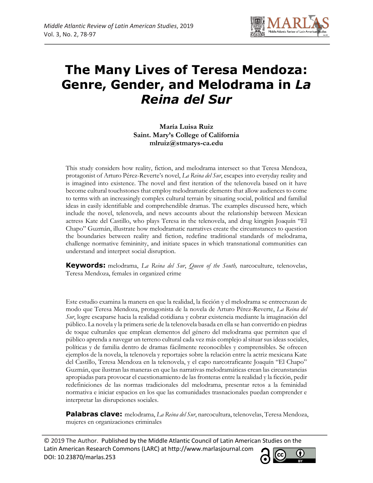

# **The Many Lives of Teresa Mendoza: Genre, Gender, and Melodrama in** *La Reina del Sur*

**María Luisa Ruiz Saint. Mary's College of California mlruiz@stmarys-ca.edu**

This study considers how reality, fiction, and melodrama intersect so that Teresa Mendoza, protagonist of Arturo Pérez-Reverte's novel, *La Reina del Sur*, escapes into everyday reality and is imagined into existence. The novel and first iteration of the telenovela based on it have become cultural touchstones that employ melodramatic elements that allow audiences to come to terms with an increasingly complex cultural terrain by situating social, political and familial ideas in easily identifiable and comprehendible dramas. The examples discussed here, which include the novel, telenovela, and news accounts about the relationship between Mexican actress Kate del Castillo, who plays Teresa in the telenovela, and drug kingpin Joaquín "El Chapo" Guzmán, illustrate how melodramatic narratives create the circumstances to question the boundaries between reality and fiction, redefine traditional standards of melodrama, challenge normative femininity, and initiate spaces in which transnational communities can understand and interpret social disruption.

**Keywords:** melodrama, *La Reina del Sur*, *Queen of the South,* narcoculture, telenovelas, Teresa Mendoza, females in organized crime

Este estudio examina la manera en que la realidad, la ficción y el melodrama se entrecruzan de modo que Teresa Mendoza, protagonista de la novela de Arturo Pérez-Reverte, *La Reina del Sur*, logre escaparse hacia la realidad cotidiana y cobrar existencia mediante la imaginación del público. La novela y la primera serie de la telenovela basada en ella se han convertido en piedras de toque culturales que emplean elementos del género del melodrama que permiten que el público aprenda a navegar un terreno cultural cada vez más complejo al situar sus ideas sociales, políticas y de familia dentro de dramas fácilmente reconocibles y comprensibles. Se ofrecen ejemplos de la novela, la telenovela y reportajes sobre la relación entre la actriz mexicana Kate del Castillo, Teresa Mendoza en la telenovela, y el capo narcotraficante Joaquín "El Chapo" Guzmán, que ilustran las maneras en que las narrativas melodramáticas crean las circunstancias apropiadas para provocar el cuestionamiento de las fronteras entre la realidad y la ficción, pedir redefiniciones de las normas tradicionales del melodrama, presentar retos a la feminidad normativa e iniciar espacios en los que las comunidades trasnacionales puedan comprender e interpretar las disrupciones sociales.

**Palabras clave:** melodrama, *La Reina del Sur*, narcocultura, telenovelas, Teresa Mendoza, mujeres en organizaciones criminales

© 2019 The Author. Published by the Middle Atlantic Council of Latin American Studies on the Latin American Research Commons (LARC) at http://www.marlasjournal.com **CC** DOI: [10.23870/marlas.253](https://doi.org/10.23870/marlas.253)

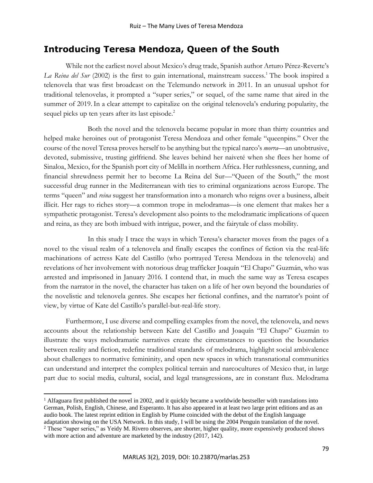# **Introducing Teresa Mendoza, Queen of the South**

While not the earliest novel about Mexico's drug trade, Spanish author Arturo Pérez-Reverte's *La Reina del Sur* (2002) is the first to gain international, mainstream success.<sup>1</sup> The book inspired a telenovela that was first broadcast on the Telemundo network in 2011. In an unusual upshot for traditional telenovelas, it prompted a "super series," or sequel, of the same name that aired in the summer of 2019.In a clear attempt to capitalize on the original telenovela's enduring popularity, the sequel picks up ten years after its last episode.<sup>2</sup>

Both the novel and the telenovela became popular in more than thirty countries and helped make heroines out of protagonist Teresa Mendoza and other female "queenpins." Over the course of the novel Teresa proves herself to be anything but the typical narco's *morra—*an unobtrusive, devoted, submissive, trusting girlfriend. She leaves behind her naiveté when she flees her home of Sinaloa, Mexico, for the Spanish port city of Melilla in northern Africa. Her ruthlessness, cunning, and financial shrewdness permit her to become La Reina del Sur—"Queen of the South," the most successful drug runner in the Mediterranean with ties to criminal organizations across Europe. The terms "queen" and *reina* suggest her transformation into a monarch who reigns over a business, albeit illicit. Her rags to riches story––a common trope in melodramas––is one element that makes her a sympathetic protagonist. Teresa's development also points to the melodramatic implications of queen and reina, as they are both imbued with intrigue, power, and the fairytale of class mobility.

In this study I trace the ways in which Teresa's character moves from the pages of a novel to the visual realm of a telenovela and finally escapes the confines of fiction via the real-life machinations of actress Kate del Castillo (who portrayed Teresa Mendoza in the telenovela) and revelations of her involvement with notorious drug trafficker Joaquín "El Chapo" Guzmán, who was arrested and imprisoned in January 2016. I contend that, in much the same way as Teresa escapes from the narrator in the novel, the character has taken on a life of her own beyond the boundaries of the novelistic and telenovela genres. She escapes her fictional confines, and the narrator's point of view, by virtue of Kate del Castillo's parallel-but-real-life story.

Furthermore, I use diverse and compelling examples from the novel, the telenovela, and news accounts about the relationship between Kate del Castillo and Joaquín "El Chapo" Guzmán to illustrate the ways melodramatic narratives create the circumstances to question the boundaries between reality and fiction, redefine traditional standards of melodrama, highlight social ambivalence about challenges to normative femininity, and open new spaces in which transnational communities can understand and interpret the complex political terrain and narcocultures of Mexico that, in large part due to social media, cultural, social, and legal transgressions, are in constant flux. Melodrama

 $<sup>1</sup>$  Alfaguara first published the novel in 2002, and it quickly became a worldwide bestseller with translations into</sup> German, Polish, English, Chinese, and Esperanto. It has also appeared in at least two large print editions and as an audio book. The latest reprint edition in English by Plume coincided with the debut of the English language adaptation showing on the USA Network. In this study, I will be using the 2004 Penguin translation of the novel. <sup>2</sup> These "super series," as Yeidy M. Rivero observes, are shorter, higher quality, more expensively produced shows with more action and adventure are marketed by the industry (2017, 142).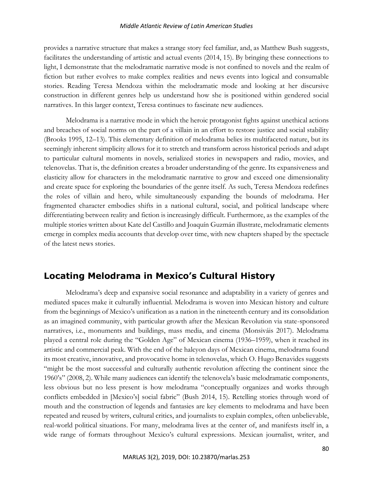provides a narrative structure that makes a strange story feel familiar, and, as Matthew Bush suggests, facilitates the understanding of artistic and actual events (2014, 15). By bringing these connections to light, I demonstrate that the melodramatic narrative mode is not confined to novels and the realm of fiction but rather evolves to make complex realities and news events into logical and consumable stories. Reading Teresa Mendoza within the melodramatic mode and looking at her discursive construction in different genres help us understand how she is positioned within gendered social narratives. In this larger context, Teresa continues to fascinate new audiences.

Melodrama is a narrative mode in which the heroic protagonist fights against unethical actions and breaches of social norms on the part of a villain in an effort to restore justice and social stability (Brooks 1995, 12–13). This elementary definition of melodrama belies its multifaceted nature, but its seemingly inherent simplicity allows for it to stretch and transform across historical periods and adapt to particular cultural moments in novels, serialized stories in newspapers and radio, movies, and telenovelas. That is, the definition creates a broader understanding of the genre. Its expansiveness and elasticity allow for characters in the melodramatic narrative to grow and exceed one dimensionality and create space for exploring the boundaries of the genre itself. As such, Teresa Mendoza redefines the roles of villain and hero, while simultaneously expanding the bounds of melodrama. Her fragmented character embodies shifts in a national cultural, social, and political landscape where differentiating between reality and fiction is increasingly difficult. Furthermore, as the examples of the multiple stories written about Kate del Castillo and Joaquín Guzmán illustrate, melodramatic elements emerge in complex media accounts that develop over time, with new chapters shaped by the spectacle of the latest news stories.

# **Locating Melodrama in Mexico's Cultural History**

Melodrama's deep and expansive social resonance and adaptability in a variety of genres and mediated spaces make it culturally influential. Melodrama is woven into Mexican history and culture from the beginnings of Mexico's unification as a nation in the nineteenth century and its consolidation as an imagined community, with particular growth after the Mexican Revolution via state-sponsored narratives, i.e., monuments and buildings, mass media, and cinema (Monsiváis 2017). Melodrama played a central role during the "Golden Age" of Mexican cinema (1936–1959), when it reached its artistic and commercial peak. With the end of the halcyon days of Mexican cinema, melodrama found its most creative, innovative, and provocative home in telenovelas, which O. Hugo Benavides suggests "might be the most successful and culturally authentic revolution affecting the continent since the 1960's" (2008, 2). While many audiences can identify the telenovela's basic melodramatic components, less obvious but no less present is how melodrama "conceptually organizes and works through conflicts embedded in [Mexico's] social fabric" (Bush 2014, 15). Retelling stories through word of mouth and the construction of legends and fantasies are key elements to melodrama and have been repeated and reused by writers, cultural critics, and journalists to explain complex, often unbelievable, real-world political situations. For many, melodrama lives at the center of, and manifests itself in, a wide range of formats throughout Mexico's cultural expressions. Mexican journalist, writer, and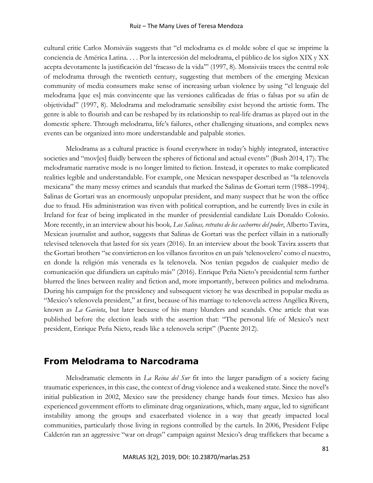#### Ruiz – The Many Lives of Teresa Mendoza

cultural critic Carlos Monsiváis suggests that "el melodrama es el molde sobre el que se imprime la conciencia de América Latina. . . . Por la intercesión del melodrama, el público de los siglos XIX y XX acepta devotamente la justificación del 'fracaso de la vida'" (1997, 8). Monsiváis traces the central role of melodrama through the twentieth century, suggesting that members of the emerging Mexican community of media consumers make sense of increasing urban violence by using "el lenguaje del melodrama [que es] más convincente que las versiones calificadas de frías o falsas por su afán de objetividad" (1997, 8). Melodrama and melodramatic sensibility exist beyond the artistic form. The genre is able to flourish and can be reshaped by its relationship to real-life dramas as played out in the domestic sphere. Through melodrama, life's failures, other challenging situations, and complex news events can be organized into more understandable and palpable stories.

Melodrama as a cultural practice is found everywhere in today's highly integrated, interactive societies and "mov[es] fluidly between the spheres of fictional and actual events" (Bush 2014, 17). The melodramatic narrative mode is no longer limited to fiction. Instead, it operates to make complicated realities legible and understandable. For example, one Mexican newspaper described as "la telenovela mexicana" the many messy crimes and scandals that marked the Salinas de Gortari term (1988–1994). Salinas de Gortari was an enormously unpopular president, and many suspect that he won the office due to fraud. His administration was riven with political corruption, and he currently lives in exile in Ireland for fear of being implicated in the murder of presidential candidate Luis Donaldo Colosio. More recently, in an interview about his book*, Los Salinas, retratos de los cachorros del poder*, Alberto Tavira, Mexican journalist and author, suggests that Salinas de Gortari was the perfect villain in a nationally televised telenovela that lasted for six years (2016). In an interview about the book Tavira asserts that the Gortari brothers "se convirtieron en los villanos favoritos en un país 'telenovelero' como el nuestro, en donde la religión más venerada es la telenovela. Nos tenían pegados de cualquier medio de comunicación que difundiera un capítulo más" (2016). Enrique Peña Nieto's presidential term further blurred the lines between reality and fiction and, more importantly, between politics and melodrama. During his campaign for the presidency and subsequent victory he was described in popular media as "Mexico's telenovela president," at first, because of his marriage to telenovela actress Angélica Rivera, known as *La Gaviota*, but later because of his many blunders and scandals. One article that was published before the election leads with the assertion that: "The personal life of Mexico's next president, Enrique Peña Nieto, reads like a telenovela script" (Puente 2012).

# **From Melodrama to Narcodrama**

Melodramatic elements in *La Reina del Sur* fit into the larger paradigm of a society facing traumatic experiences, in this case, the context of drug violence and a weakened state. Since the novel's initial publication in 2002, Mexico saw the presidency change hands four times. Mexico has also experienced government efforts to eliminate drug organizations, which, many argue, led to significant instability among the groups and exacerbated violence in a way that greatly impacted local communities, particularly those living in regions controlled by the cartels. In 2006, President Felipe Calderón ran an aggressive "war on drugs" campaign against Mexico's drug traffickers that became a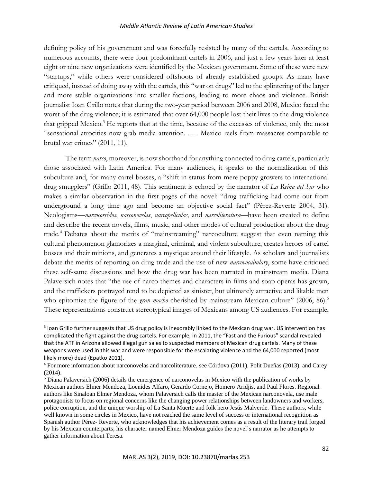defining policy of his government and was forcefully resisted by many of the cartels. According to numerous accounts, there were four predominant cartels in 2006, and just a few years later at least eight or nine new organizations were identified by the Mexican government. Some of these were new "startups," while others were considered offshoots of already established groups. As many have critiqued, instead of doing away with the cartels, this "war on drugs" led to the splintering of the larger and more stable organizations into smaller factions, leading to more chaos and violence. British journalist Ioan Grillo notes that during the two-year period between 2006 and 2008, Mexico faced the worst of the drug violence; it is estimated that over 64,000 people lost their lives to the drug violence that gripped Mexico.<sup>3</sup> He reports that at the time, because of the excesses of violence, only the most "sensational atrocities now grab media attention. . . . Mexico reels from massacres comparable to brutal war crimes" (2011, 11).

The term *narco*, moreover, is now shorthand for anything connected to drug cartels, particularly those associated with Latin America. For many audiences, it speaks to the normalization of this subculture and, for many cartel bosses, a "shift in status from mere poppy growers to international drug smugglers" (Grillo 2011, 48). This sentiment is echoed by the narrator of *La Reina del Sur* who makes a similar observation in the first pages of the novel: "drug trafficking had come out from underground a long time ago and become an objective social fact" (Pérez-Reverte 2004, 31). Neologisms––*narcocorridos*, *narconovelas*, *narcopelículas*, and *narcoliteratura*––have been created to define and describe the recent novels, films, music, and other modes of cultural production about the drug trade.<sup>4</sup> Debates about the merits of "mainstreaming" narcoculture suggest that even naming this cultural phenomenon glamorizes a marginal, criminal, and violent subculture, creates heroes of cartel bosses and their minions, and generates a mystique around their lifestyle. As scholars and journalists debate the merits of reporting on drug trade and the use of new *narcovocabulary*, some have critiqued these self-same discussions and how the drug war has been narrated in mainstream media. Diana Palaversich notes that "the use of narco themes and characters in films and soap operas has grown, and the traffickers portrayed tend to be depicted as sinister, but ultimately attractive and likable men who epitomize the figure of the *gran macho* cherished by mainstream Mexican culture" (2006, 86).<sup>5</sup> These representations construct stereotypical images of Mexicans among US audiences. For example,

<sup>&</sup>lt;sup>3</sup> Ioan Grillo further suggests that US drug policy is inexorably linked to the Mexican drug war. US intervention has complicated the fight against the drug cartels. For example, in 2011, the "Fast and the Furious" scandal revealed that the ATF in Arizona allowed illegal gun sales to suspected members of Mexican drug cartels. Many of these weapons were used in this war and were responsible for the escalating violence and the 64,000 reported (most likely more) dead (Epatko 2011).

<sup>4</sup> For more information about narconovelas and narcoliterature, see Córdova (2011), Polit Dueñas (2013), and Carey (2014).

<sup>5</sup> Diana Palaversich (2006) details the emergence of narconovelas in Mexico with the publication of works by Mexican authors Elmer Mendoza, Loenides Alfaro, Gerardo Cornejo, Homero Aridjis, and Paul Flores. Regional authors like Sinaloan Elmer Mendoza, whom Palaversich calls the master of the Mexican narconovela, use male protagonists to focus on regional concerns like the changing power relationships between landowners and workers, police corruption, and the unique worship of La Santa Muerte and folk hero Jesús Malverde. These authors, while well known in some circles in Mexico, have not reached the same level of success or international recognition as Spanish author Pérez- Reverte, who acknowledges that his achievement comes as a result of the literary trail forged by his Mexican counterparts; his character named Elmer Mendoza guides the novel's narrator as he attempts to gather information about Teresa.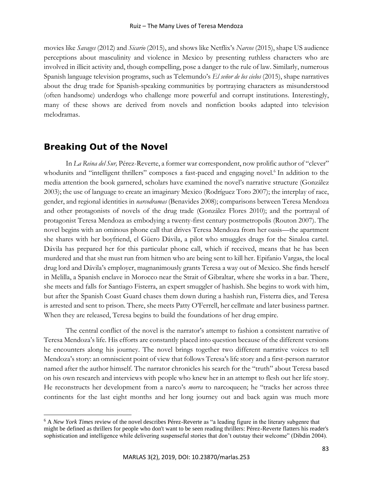movies like *Savages* (2012) and *Sicario* (2015), and shows like Netflix's *Narcos* (2015), shape US audience perceptions about masculinity and violence in Mexico by presenting ruthless characters who are involved in illicit activity and, though compelling, pose a danger to the rule of law. Similarly, numerous Spanish language television programs, such as Telemundo's *El señor de los cielos* (2015), shape narratives about the drug trade for Spanish-speaking communities by portraying characters as misunderstood (often handsome) underdogs who challenge more powerful and corrupt institutions. Interestingly, many of these shows are derived from novels and nonfiction books adapted into television melodramas.

# **Breaking Out of the Novel**

In *La Reina del Sur,* Pérez-Reverte, a former war correspondent, now prolific author of "clever" whodunits and "intelligent thrillers" composes a fast-paced and engaging novel.<sup>6</sup> In addition to the media attention the book garnered, scholars have examined the novel's narrative structure (González 2003); the use of language to create an imaginary Mexico (Rodríguez Toro 2007); the interplay of race, gender, and regional identities in *narcodramas* (Benavides 2008); comparisons between Teresa Mendoza and other protagonists of novels of the drug trade (González Flores 2010); and the portrayal of protagonist Teresa Mendoza as embodying a twenty-first century postmetropolis (Routon 2007). The novel begins with an ominous phone call that drives Teresa Mendoza from her oasis—the apartment she shares with her boyfriend, el Güero Dávila, a pilot who smuggles drugs for the Sinaloa cartel. Dávila has prepared her for this particular phone call, which if received, means that he has been murdered and that she must run from hitmen who are being sent to kill her. Epifanio Vargas, the local drug lord and Dávila's employer, magnanimously grants Teresa a way out of Mexico. She finds herself in Melilla, a Spanish enclave in Morocco near the Strait of Gibraltar, where she works in a bar. There, she meets and falls for Santiago Fisterra, an expert smuggler of hashish. She begins to work with him, but after the Spanish Coast Guard chases them down during a hashish run, Fisterra dies, and Teresa is arrested and sent to prison. There, she meets Patty O'Ferrell, her cellmate and later business partner. When they are released, Teresa begins to build the foundations of her drug empire.

The central conflict of the novel is the narrator's attempt to fashion a consistent narrative of Teresa Mendoza's life. His efforts are constantly placed into question because of the different versions he encounters along his journey. The novel brings together two different narrative voices to tell Mendoza's story: an omniscient point of view that follows Teresa's life story and a first-person narrator named after the author himself. The narrator chronicles his search for the "truth" about Teresa based on his own research and interviews with people who knew her in an attempt to flesh out her life story. He reconstructs her development from a narco's *morra* to narcoqueen; he "tracks her across three continents for the last eight months and her long journey out and back again was much more

<sup>6</sup> A *New York Times* review of the novel describes Pérez-Reverte as "a leading figure in the literary subgenre that might be defined as thrillers for people who don't want to be seen reading thrillers: Pérez-Reverte flatters his reader's sophistication and intelligence while delivering suspenseful stories that don't outstay their welcome" (Dibdin 2004).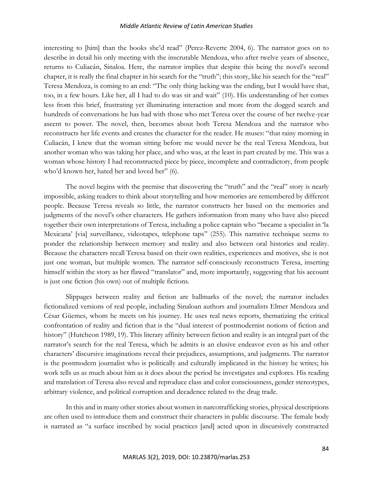interesting to [him] than the books she'd read" (Perez-Reverte 2004, 6). The narrator goes on to describe in detail his only meeting with the inscrutable Mendoza, who after twelve years of absence, returns to Culiacán, Sinaloa. Here, the narrator implies that despite this being the novel's second chapter, it is really the final chapter in his search for the "truth"; this story, like his search for the "real" Teresa Mendoza, is coming to an end: "The only thing lacking was the ending, but I would have that, too, in a few hours. Like her, all I had to do was sit and wait" (10). His understanding of her comes less from this brief, frustrating yet illuminating interaction and more from the dogged search and hundreds of conversations he has had with those who met Teresa over the course of her twelve-year ascent to power. The novel, then, becomes about both Teresa Mendoza and the narrator who reconstructs her life events and creates the character for the reader. He muses: "that rainy morning in Culiacán, I knew that the woman sitting before me would never be the real Teresa Mendoza, but another woman who was taking her place, and who was, at the least in part created by me. This was a woman whose history I had reconstructed piece by piece, incomplete and contradictory, from people who'd known her, hated her and loved her" (6).

The novel begins with the premise that discovering the "truth" and the "real" story is nearly impossible, asking readers to think about storytelling and how memories are remembered by different people. Because Teresa reveals so little, the narrator constructs her based on the memories and judgments of the novel's other characters. He gathers information from many who have also pieced together their own interpretations of Teresa, including a police captain who "became a specialist in 'la Mexicana' [via] surveillance, videotapes, telephone taps" (255). This narrative technique seems to ponder the relationship between memory and reality and also between oral histories and reality. Because the characters recall Teresa based on their own realities, experiences and motives, she is not just one woman, but multiple women. The narrator self-consciously reconstructs Teresa, inserting himself within the story as her flawed "translator" and, more importantly, suggesting that his account is just one fiction (his own) out of multiple fictions.

Slippages between reality and fiction are hallmarks of the novel; the narrator includes fictionalized versions of real people, including Sinaloan authors and journalists Elmer Mendoza and César Güemes, whom he meets on his journey. He uses real news reports, thematizing the critical confrontation of reality and fiction that is the "dual interest of postmodernist notions of fiction and history" (Hutcheon 1989, 19). This literary affinity between fiction and reality is an integral part of the narrator's search for the real Teresa, which he admits is an elusive endeavor even as his and other characters' discursive imaginations reveal their prejudices, assumptions, and judgments. The narrator is the postmodern journalist who is politically and culturally implicated in the history he writes; his work tells us as much about him as it does about the period he investigates and explores. His reading and translation of Teresa also reveal and reproduce class and color consciousness, gender stereotypes, arbitrary violence, and political corruption and decadence related to the drug trade.

In this and in many other stories about women in narcotrafficking stories, physical descriptions are often used to introduce them and construct their characters in public discourse. The female body is narrated as "a surface inscribed by social practices [and] acted upon in discursively constructed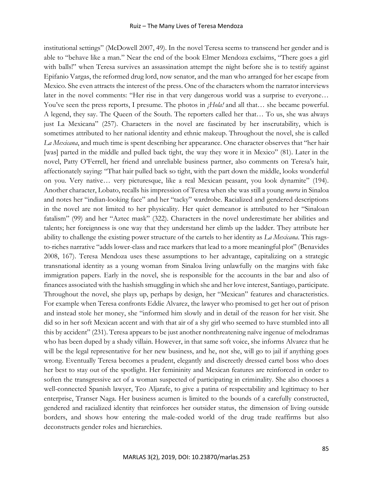institutional settings" (McDowell 2007, 49). In the novel Teresa seems to transcend her gender and is able to "behave like a man." Near the end of the book Elmer Mendoza exclaims, "There goes a girl with balls!" when Teresa survives an assassination attempt the night before she is to testify against Epifanio Vargas, the reformed drug lord, now senator, and the man who arranged for her escape from Mexico. She even attracts the interest of the press. One of the characters whom the narrator interviews later in the novel comments: "Her rise in that very dangerous world was a surprise to everyone… You've seen the press reports, I presume. The photos in *¡Hola!* and all that... she became powerful. A legend, they say. The Queen of the South. The reporters called her that… To us, she was always just La Mexicana" (257). Characters in the novel are fascinated by her inscrutability, which is sometimes attributed to her national identity and ethnic makeup. Throughout the novel, she is called *La Mexicana*, and much time is spent describing her appearance. One character observes that "her hair [was] parted in the middle and pulled back tight, the way they wore it in Mexico" (81). Later in the novel, Patty O'Ferrell, her friend and unreliable business partner, also comments on Teresa's hair, affectionately saying: "That hair pulled back so tight, with the part down the middle, looks wonderful on you. Very native… very picturesque, like a real Mexican peasant, you look dynamite" (194). Another character, Lobato, recalls his impression of Teresa when she was still a young *morra* in Sinaloa and notes her "indian-looking face" and her "tacky" wardrobe. Racialized and gendered descriptions in the novel are not limited to her physicality. Her quiet demeanor is attributed to her "Sinaloan fatalism" (99) and her "Aztec mask" (322). Characters in the novel underestimate her abilities and talents; her foreignness is one way that they understand her climb up the ladder. They attribute her ability to challenge the existing power structure of the cartels to her identity as *La Mexicana*. This ragsto-riches narrative "adds lower-class and race markers that lead to a more meaningful plot" (Benavides 2008, 167). Teresa Mendoza uses these assumptions to her advantage, capitalizing on a strategic transnational identity as a young woman from Sinaloa living unlawfully on the margins with fake immigration papers. Early in the novel, she is responsible for the accounts in the bar and also of finances associated with the hashish smuggling in which she and her love interest, Santiago, participate. Throughout the novel, she plays up, perhaps by design, her "Mexican" features and characteristics. For example when Teresa confronts Eddie Alvarez, the lawyer who promised to get her out of prison and instead stole her money, she "informed him slowly and in detail of the reason for her visit. She did so in her soft Mexican accent and with that air of a shy girl who seemed to have stumbled into all this by accident" (231). Teresa appears to be just another nonthreatening naïve ingenue of melodramas who has been duped by a shady villain. However, in that same soft voice, she informs Alvarez that he will be the legal representative for her new business, and he, not she, will go to jail if anything goes wrong. Eventually Teresa becomes a prudent, elegantly and discreetly dressed cartel boss who does her best to stay out of the spotlight. Her femininity and Mexican features are reinforced in order to soften the transgressive act of a woman suspected of participating in criminality. She also chooses a well-connected Spanish lawyer, Teo Aljarafe, to give a patina of respectability and legitimacy to her enterprise, Transer Naga. Her business acumen is limited to the bounds of a carefully constructed, gendered and racialized identity that reinforces her outsider status, the dimension of living outside borders, and shows how entering the male-coded world of the drug trade reaffirms but also deconstructs gender roles and hierarchies.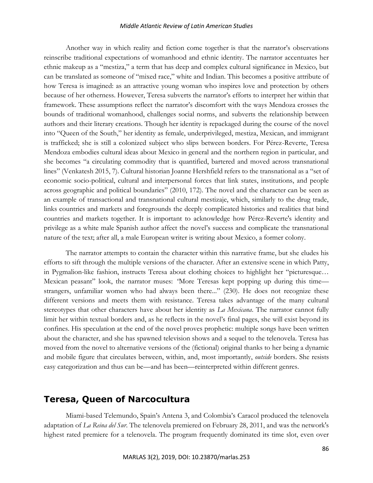Another way in which reality and fiction come together is that the narrator's observations reinscribe traditional expectations of womanhood and ethnic identity. The narrator accentuates her ethnic makeup as a "mestiza," a term that has deep and complex cultural significance in Mexico, but can be translated as someone of "mixed race," white and Indian. This becomes a positive attribute of how Teresa is imagined: as an attractive young woman who inspires love and protection by others because of her otherness. However, Teresa subverts the narrator's efforts to interpret her within that framework. These assumptions reflect the narrator's discomfort with the ways Mendoza crosses the bounds of traditional womanhood, challenges social norms, and subverts the relationship between authors and their literary creations. Though her identity is repackaged during the course of the novel into "Queen of the South," her identity as female, underprivileged, mestiza, Mexican, and immigrant is trafficked; she is still a colonized subject who slips between borders. For Pérez-Reverte, Teresa Mendoza embodies cultural ideas about Mexico in general and the northern region in particular, and she becomes "a circulating commodity that is quantified, bartered and moved across transnational lines" (Venkatesh 2015, 7). Cultural historian Joanne Hershfield refers to the transnational as a "set of economic socio-political, cultural and interpersonal forces that link states, institutions, and people across geographic and political boundaries" (2010, 172). The novel and the character can be seen as an example of transactional and transnational cultural mestizaje, which, similarly to the drug trade, links countries and markets and foregrounds the deeply complicated histories and realities that bind countries and markets together. It is important to acknowledge how Pérez-Reverte's identity and privilege as a white male Spanish author affect the novel's success and complicate the transnational nature of the text; after all, a male European writer is writing about Mexico, a former colony.

The narrator attempts to contain the character within this narrative frame, but she eludes his efforts to sift through the multiple versions of the character. After an extensive scene in which Patty, in Pygmalion-like fashion, instructs Teresa about clothing choices to highlight her "picturesque… Mexican peasant" look, the narrator muses: "More Teresas kept popping up during this timestrangers, unfamiliar women who had always been there..." (230). He does not recognize these different versions and meets them with resistance. Teresa takes advantage of the many cultural stereotypes that other characters have about her identity as *La Mexicana*. The narrator cannot fully limit her within textual borders and, as he reflects in the novel's final pages, she will exist beyond its confines. His speculation at the end of the novel proves prophetic: multiple songs have been written about the character, and she has spawned television shows and a sequel to the telenovela. Teresa has moved from the novel to alternative versions of the (fictional) original thanks to her being a dynamic and mobile figure that circulates between, within, and, most importantly, *outside* borders. She resists easy categorization and thus can be—and has been—reinterpreted within different genres.

### **Teresa, Queen of Narcocultura**

Miami-based Telemundo, Spain's Antena 3, and Colombia's Caracol produced the telenovela adaptation of *La Reina del Sur*. The telenovela premiered on February 28, 2011, and was the network's highest rated premiere for a telenovela. The program frequently dominated its time slot, even over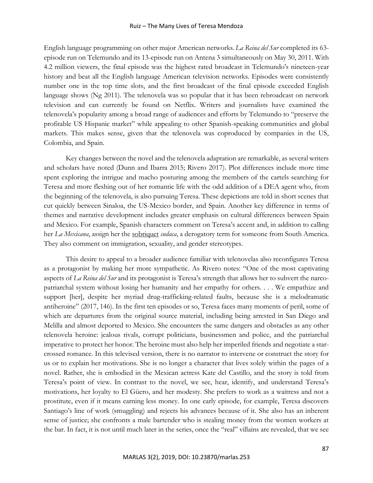English language programming on other major American networks.*La Reina del Sur* completed its 63 episode run on Telemundo and its 13-episode run on Antena 3 simultaneously on May 30, 2011. With 4.2 million viewers, the final episode was the highest rated broadcast in Telemundo's nineteen-year history and beat all the English language American television networks. Episodes were consistently number one in the top time slots, and the first broadcast of the final episode exceeded English language shows (Ng 2011). The telenovela was so popular that it has been rebroadcast on network television and can currently be found on Netflix. Writers and journalists have examined the telenovela's popularity among a broad range of audiences and efforts by Telemundo to "preserve the profitable US Hispanic market" while appealing to other Spanish-speaking communities and global markets. This makes sense, given that the telenovela was coproduced by companies in the US, Colombia, and Spain.

Key changes between the novel and the telenovela adaptation are remarkable, as several writers and scholars have noted (Dunn and Ibarra 2015; Rivero 2017). Plot differences include more time spent exploring the intrigue and macho posturing among the members of the cartels searching for Teresa and more fleshing out of her romantic life with the odd addition of a DEA agent who, from the beginning of the telenovela, is also pursuing Teresa. These depictions are told in short scenes that cut quickly between Sinaloa, the US-Mexico border, and Spain. Another key difference in terms of themes and narrative development includes greater emphasis on cultural differences between Spain and Mexico. For example, Spanish characters comment on Teresa's accent and, in addition to calling her *La Mexicana*, assign her the [sobriquet](https://www.thesaurus.com/browse/sobriquet) *sudaca*, a derogatory term for someone from South America. They also comment on immigration, sexuality, and gender stereotypes.

This desire to appeal to a broader audience familiar with telenovelas also reconfigures Teresa as a protagonist by making her more sympathetic. As Rivero notes: "One of the most captivating aspects of *La Reina del Sur* and its protagonist is Teresa's strength that allows her to subvert the narcopatriarchal system without losing her humanity and her empathy for others. . . . We empathize and support [her], despite her myriad drug-trafficking-related faults, because she is a melodramatic antiheroine" (2017, 146). In the first ten episodes or so, Teresa faces many moments of peril, some of which are departures from the original source material, including being arrested in San Diego and Melilla and almost deported to Mexico. She encounters the same dangers and obstacles as any other telenovela heroine: jealous rivals, corrupt politicians, businessmen and police, and the patriarchal imperative to protect her honor. The heroine must also help her imperiled friends and negotiate a starcrossed romance. In this televised version, there is no narrator to intervene or construct the story for us or to explain her motivations. She is no longer a character that lives solely within the pages of a novel. Rather, she is embodied in the Mexican actress Kate del Castillo, and the story is told from Teresa's point of view. In contrast to the novel, we see, hear, identify, and understand Teresa's motivations, her loyalty to El Güero, and her modesty. She prefers to work as a waitress and not a prostitute, even if it means earning less money. In one early episode, for example, Teresa discovers Santiago's line of work (smuggling) and rejects his advances because of it. She also has an inherent sense of justice; she confronts a male bartender who is stealing money from the women workers at the bar. In fact, it is not until much later in the series, once the "real" villains are revealed, that we see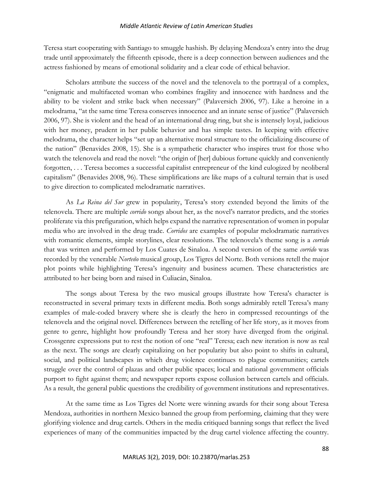Teresa start cooperating with Santiago to smuggle hashish. By delaying Mendoza's entry into the drug trade until approximately the fifteenth episode, there is a deep connection between audiences and the actress fashioned by means of emotional solidarity and a clear code of ethical behavior.

Scholars attribute the success of the novel and the telenovela to the portrayal of a complex, "enigmatic and multifaceted woman who combines fragility and innocence with hardness and the ability to be violent and strike back when necessary" (Palaversich 2006, 97). Like a heroine in a melodrama, "at the same time Teresa conserves innocence and an innate sense of justice" (Palaversich 2006, 97). She is violent and the head of an international drug ring, but she is intensely loyal, judicious with her money, prudent in her public behavior and has simple tastes. In keeping with effective melodrama, the character helps "set up an alternative moral structure to the officializing discourse of the nation" (Benavides 2008, 15). She is a sympathetic character who inspires trust for those who watch the telenovela and read the novel: "the origin of [her] dubious fortune quickly and conveniently forgotten, . . . Teresa becomes a successful capitalist entrepreneur of the kind eulogized by neoliberal capitalism" (Benavides 2008, 96). These simplifications are like maps of a cultural terrain that is used to give direction to complicated melodramatic narratives.

As *La Reina del Sur* grew in popularity, Teresa's story extended beyond the limits of the telenovela. There are multiple *corrido* songs about her, as the novel's narrator predicts, and the stories proliferate via this prefiguration, which helps expand the narrative representation of women in popular media who are involved in the drug trade. *Corridos* are examples of popular melodramatic narratives with romantic elements, simple storylines, clear resolutions. The telenovela's theme song is a *corrido* that was written and performed by Los Cuates de Sinaloa. A second version of the same *corrido* was recorded by the venerable *Norteño* musical group, Los Tigres del Norte. Both versions retell the major plot points while highlighting Teresa's ingenuity and business acumen. These characteristics are attributed to her being born and raised in Culiacán, Sinaloa.

The songs about Teresa by the two musical groups illustrate how Teresa's character is reconstructed in several primary texts in different media. Both songs admirably retell Teresa's many examples of male-coded bravery where she is clearly the hero in compressed recountings of the telenovela and the original novel. Differences between the retelling of her life story, as it moves from genre to genre, highlight how profoundly Teresa and her story have diverged from the original. Crossgenre expressions put to rest the notion of one "real" Teresa; each new iteration is now as real as the next. The songs are clearly capitalizing on her popularity but also point to shifts in cultural, social, and political landscapes in which drug violence continues to plague communities; cartels struggle over the control of plazas and other public spaces; local and national government officials purport to fight against them; and newspaper reports expose collusion between cartels and officials. As a result, the general public questions the credibility of government institutions and representatives.

At the same time as Los Tigres del Norte were winning awards for their song about Teresa Mendoza, authorities in northern Mexico banned the group from performing, claiming that they were glorifying violence and drug cartels. Others in the media critiqued banning songs that reflect the lived experiences of many of the communities impacted by the drug cartel violence affecting the country.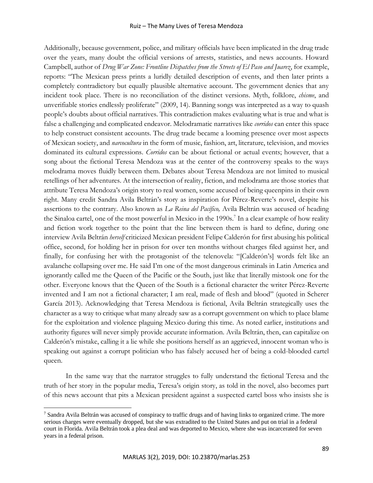Additionally, because government, police, and military officials have been implicated in the drug trade over the years, many doubt the official versions of arrests, statistics, and news accounts. Howard Campbell, author of *Drug War Zone: Frontline Dispatches from the Streets of El Paso and Juarez*, for example, reports: "The Mexican press prints a luridly detailed description of events, and then later prints a completely contradictory but equally plausible alternative account. The government denies that any incident took place. There is no reconciliation of the distinct versions. Myth, folklore, *chisme*, and unverifiable stories endlessly proliferate" (2009, 14). Banning songs was interpreted as a way to quash people's doubts about official narratives. This contradiction makes evaluating what is true and what is false a challenging and complicated endeavor. Melodramatic narratives like *corridos* can enter this space to help construct consistent accounts. The drug trade became a looming presence over most aspects of Mexican society, and *narcocultura* in the form of music, fashion, art, literature, television, and movies dominated its cultural expressions. *Corridos* can be about fictional or actual events; however, that a song about the fictional Teresa Mendoza was at the center of the controversy speaks to the ways melodrama moves fluidly between them. Debates about Teresa Mendoza are not limited to musical retellings of her adventures. At the intersection of reality, fiction, and melodrama are those stories that attribute Teresa Mendoza's origin story to real women, some accused of being queenpins in their own right. Many credit Sandra Avila Beltrán's story as inspiration for Pérez-Reverte's novel, despite his assertions to the contrary. Also known as *La Reina del Pacífico,* Avila Beltrán was accused of heading the Sinaloa cartel, one of the most powerful in Mexico in the 1990s.<sup>7</sup> In a clear example of how reality and fiction work together to the point that the line between them is hard to define, during one interview Avila Beltrán *herself* criticized Mexican president Felipe Calderón for first abusing his political office, second, for holding her in prison for over ten months without charges filed against her, and finally, for confusing her with the protagonist of the telenovela: "[Calderón's] words felt like an avalanche collapsing over me. He said I'm one of the most dangerous criminals in Latin America and ignorantly called me the Queen of the Pacific or the South, just like that literally mistook one for the other. Everyone knows that the Queen of the South is a fictional character the writer Pérez-Reverte invented and I am not a fictional character; I am real, made of flesh and blood" (quoted in Scherer García 2013). Acknowledging that Teresa Mendoza is fictional, Avila Beltrán strategically uses the character as a way to critique what many already saw as a corrupt government on which to place blame for the exploitation and violence plaguing Mexico during this time. As noted earlier, institutions and authority figures will never simply provide accurate information. Avila Beltrán, then, can capitalize on Calderón's mistake, calling it a lie while she positions herself as an aggrieved, innocent woman who is speaking out against a corrupt politician who has falsely accused her of being a cold-blooded cartel queen.

In the same way that the narrator struggles to fully understand the fictional Teresa and the truth of her story in the popular media, Teresa's origin story, as told in the novel, also becomes part of this news account that pits a Mexican president against a suspected cartel boss who insists she is

<sup>7</sup> Sandra Avila Beltrán was accused of conspiracy to traffic drugs and of having links to organized crime. The more serious charges were eventually dropped, but she was extradited to the United States and put on trial in a federal court in Florida. Avila Beltrán took a plea deal and was deported to Mexico, where she was incarcerated for seven years in a federal prison.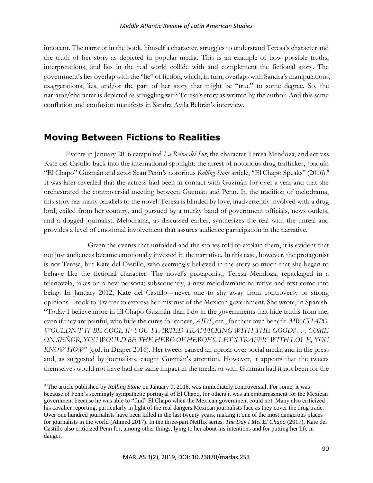innocent. The narrator in the book, himself a character, struggles to understand Teresa's character and the truth of her story as depicted in popular media. This is an example of how possible truths, interpretations, and lies in the real world collide with and complement the fictional story. The government's lies overlap with the "lie" of fiction, which, in turn, overlaps with Sandra's manipulations, exaggerations, lies, and/or the part of her story that might be "true" to some degree. So, the narrator/character is depicted as struggling with Teresa's story as written by the author. And this same conflation and confusion manifests in Sandra Avila Beltrán's interview.

# **Moving Between Fictions to Realities**

Events in January 2016 catapulted *La Reina del Sur*, the character Teresa Mendoza, and actress Kate del Castillo back into the international spotlight: the arrest of notorious drug trafficker, Joaquín "El Chapo" Guzmán and actor Sean Penn's notorious *Rolling Stone* article, "El Chapo Speaks" (2016).<sup>8</sup> It was later revealed that the actress had been in contact with Guzmán for over a year and that she orchestrated the controversial meeting between Guzmán and Penn. In the tradition of melodrama, this story has many parallels to the novel: Teresa is blinded by love, inadvertently involved with a drug lord, exiled from her country, and pursued by a murky band of government officials, news outlets, and a dogged journalist. Melodrama, as discussed earlier, synthesizes the real with the unreal and provides a level of emotional involvement that assures audience participation in the narrative.

Given the events that unfolded and the stories told to explain them, it is evident that not just audiences became emotionally invested in the narrative. In this case, however, the protagonist is not Teresa, but Kate del Castillo, who seemingly believed in the story so much that she began to behave like the fictional character. The novel's protagonist, Teresa Mendoza, repackaged in a telenovela, takes on a new persona; subsequently, a new melodramatic narrative and text come into being. In January 2012, Kate del Castillo—never one to shy away from controversy or strong opinions––took to Twitter to express her mistrust of the Mexican government. She wrote, in Spanish: "Today I believe more in El Chapo Guzmán than I do in the governments that hide truths from me, even if they are painful, who hide the cures for cancer, *AIDS*, etc., for their own benefit. *MR. CHAPO, WOULDN'T IT BE COOL IF YOU STARTED TRAFFICKING WITH THE GOOD? . . . COME ON SEÑOR, YOU WOULD BE THE HERO OF HEROES. LET'S TRAFFIC WITH LOVE, YOU KNOW HOW*" (qtd. in Draper 2016). Her tweets caused an uproar over social media and in the press and, as suggested by journalists, caught Guzmán's attention. However, it appears that the tweets themselves would not have had the same impact in the media or with Guzmán had it not been for the

<sup>8</sup> The article published by *Rolling Stone* on January 9, 2016, was immediately controversial. For some, it was because of Penn's seemingly sympathetic portrayal of El Chapo, for others it was an embarrassment for the Mexican government because he was able to "find" El Chapo when the Mexican government could not. Many also criticized his cavalier reporting, particularly in light of the real dangers Mexican journalists face as they cover the drug trade. Over one hundred journalists have been killed in the last twenty years, making it one of the most dangerous places for journalists in the world (Ahmed 2017). In the three-part Netflix series, *The Day I Met El Chapo* (2017), Kate del Castillo also criticized Penn for, among other things, lying to her about his intentions and for putting her life in danger.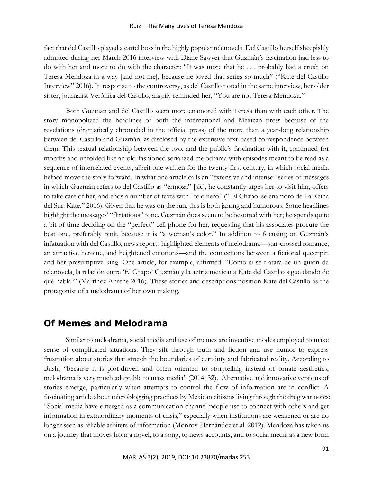fact that del Castillo played a cartel boss in the highly popular telenovela. Del Castillo herself sheepishly admitted during her March 2016 interview with Diane Sawyer that Guzmán's fascination had less to do with her and more to do with the character: "It was more that he . . . probably had a crush on Teresa Mendoza in a way [and not me], because he loved that series so much" ("Kate del Castillo Interview" 2016). In response to the controversy, as del Castillo noted in the same interview, her older sister, journalist Verónica del Castillo, angrily reminded her, "You are not Teresa Mendoza."

Both Guzmán and del Castillo seem more enamored with Teresa than with each other. The story monopolized the headlines of both the international and Mexican press because of the revelations (dramatically chronicled in the official press) of the more than a year-long relationship between del Castillo and Guzmán, as disclosed by the extensive text-based correspondence between them. This textual relationship between the two, and the public's fascination with it, continued for months and unfolded like an old-fashioned serialized melodrama with episodes meant to be read as a sequence of interrelated events, albeit one written for the twenty-first century, in which social media helped move the story forward. In what one article calls an "extensive and intense" series of messages in which Guzmán refers to del Castillo as "ermoza" [sic], he constantly urges her to visit him, offers to take care of her, and ends a number of texts with "te quiero" ("'El Chapo' se enamoró de La Reina del Sur: Kate," 2016). Given that he was on the run, this is both jarring and humorous. Some headlines highlight the messages' "flirtatious" tone. Guzmán does seem to be besotted with her; he spends quite a bit of time deciding on the "perfect" cell phone for her, requesting that his associates procure the best one, preferably pink, because it is "a woman's color." In addition to focusing on Guzmán's infatuation with del Castillo, news reports highlighted elements of melodrama––star-crossed romance, an attractive heroine, and heightened emotions––and the connections between a fictional queenpin and her presumptive king. One article, for example, affirmed: "Como si se tratara de un guión de telenovela, la relación entre 'El Chapo' Guzmán y la actriz mexicana Kate del Castillo sigue dando de qué hablar" (Martínez Ahrens 2016). These stories and descriptions position Kate del Castillo as the protagonist of a melodrama of her own making.

# **Of Memes and Melodrama**

Similar to melodrama, social media and use of memes are inventive modes employed to make sense of complicated situations. They sift through truth and fiction and use humor to express frustration about stories that stretch the boundaries of certainty and fabricated reality. According to Bush, "because it is plot-driven and often oriented to storytelling instead of ornate aesthetics, melodrama is very much adaptable to mass media" (2014, 32). Alternative and innovative versions of stories emerge, particularly when attempts to control the flow of information are in conflict. A fascinating article about microblogging practices by Mexican citizens living through the drug war notes: "Social media have emerged as a communication channel people use to connect with others and get information in extraordinary moments of crisis," especially when institutions are weakened or are no longer seen as reliable arbiters of information (Monroy-Hernández et al. 2012). Mendoza has taken us on a journey that moves from a novel, to a song, to news accounts, and to social media as a new form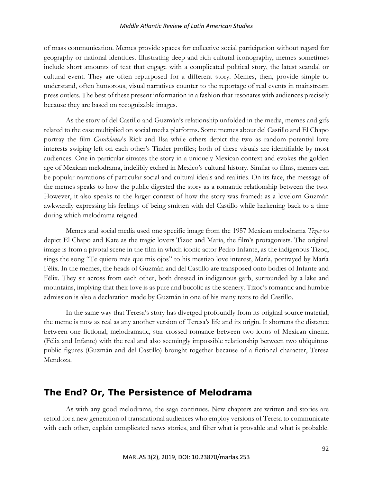of mass communication. Memes provide spaces for collective social participation without regard for geography or national identities. Illustrating deep and rich cultural iconography, memes sometimes include short amounts of text that engage with a complicated political story, the latest scandal or cultural event. They are often repurposed for a different story. Memes, then, provide simple to understand, often humorous, visual narratives counter to the reportage of real events in mainstream press outlets. The best of these present information in a fashion that resonates with audiences precisely because they are based on recognizable images.

As the story of del Castillo and Guzmán's relationship unfolded in the media, memes and gifs related to the case multiplied on social media platforms. Some memes about del Castillo and El Chapo portray the film *Casablanca*'s Rick and Ilsa while others depict the two as random potential love interests swiping left on each other's Tinder profiles; both of these visuals are identifiable by most audiences. One in particular situates the story in a uniquely Mexican context and evokes the golden age of Mexican melodrama, indelibly etched in Mexico's cultural history. Similar to films, memes can be popular narrations of particular social and cultural ideals and realities. On its face, the message of the memes speaks to how the public digested the story as a romantic relationship between the two. However, it also speaks to the larger context of how the story was framed: as a lovelorn Guzmán awkwardly expressing his feelings of being smitten with del Castillo while harkening back to a time during which melodrama reigned.

Memes and social media used one specific image from the 1957 Mexican melodrama *Tizoc* to depict El Chapo and Kate as the tragic lovers Tizoc and María, the film's protagonists. The original image is from a pivotal scene in the film in which iconic actor Pedro Infante, as the indigenous Tizoc, sings the song "Te quiero más que mis ojos" to his mestizo love interest, María, portrayed by María Félix. In the memes, the heads of Guzmán and del Castillo are transposed onto bodies of Infante and Félix. They sit across from each other, both dressed in indigenous garb, surrounded by a lake and mountains, implying that their love is as pure and bucolic as the scenery. Tizoc's romantic and humble admission is also a declaration made by Guzmán in one of his many texts to del Castillo.

In the same way that Teresa's story has diverged profoundly from its original source material, the meme is now as real as any another version of Teresa's life and its origin. It shortens the distance between one fictional, melodramatic, star-crossed romance between two icons of Mexican cinema (Félix and Infante) with the real and also seemingly impossible relationship between two ubiquitous public figures (Guzmán and del Castillo) brought together because of a fictional character, Teresa Mendoza.

# **The End? Or, The Persistence of Melodrama**

As with any good melodrama, the saga continues. New chapters are written and stories are retold for a new generation of transnational audiences who employ versions of Teresa to communicate with each other, explain complicated news stories, and filter what is provable and what is probable.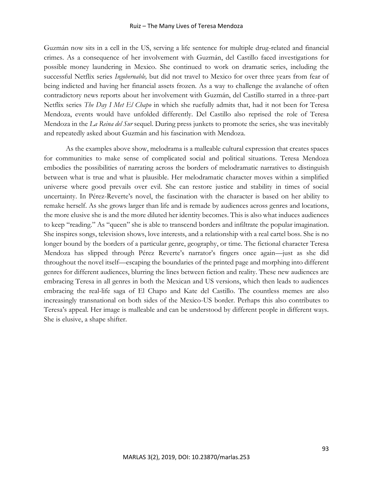#### Ruiz – The Many Lives of Teresa Mendoza

Guzmán now sits in a cell in the US, serving a life sentence for multiple drug-related and financial crimes. As a consequence of her involvement with Guzmán, del Castillo faced investigations for possible money laundering in Mexico. She continued to work on dramatic series, including the successful Netflix series *Ingobernable,* but did not travel to Mexico for over three years from fear of being indicted and having her financial assets frozen. As a way to challenge the avalanche of often contradictory news reports about her involvement with Guzmán, del Castillo starred in a three-part Netflix series *The Day I Met El Chapo* in which she ruefully admits that, had it not been for Teresa Mendoza, events would have unfolded differently. Del Castillo also reprised the role of Teresa Mendoza in the *La Reina del Sur* sequel. During press junkets to promote the series, she was inevitably and repeatedly asked about Guzmán and his fascination with Mendoza.

As the examples above show, melodrama is a malleable cultural expression that creates spaces for communities to make sense of complicated social and political situations. Teresa Mendoza embodies the possibilities of narrating across the borders of melodramatic narratives to distinguish between what is true and what is plausible. Her melodramatic character moves within a simplified universe where good prevails over evil. She can restore justice and stability in times of social uncertainty. In Pérez-Reverte's novel, the fascination with the character is based on her ability to remake herself. As she grows larger than life and is remade by audiences across genres and locations, the more elusive she is and the more diluted her identity becomes. This is also what induces audiences to keep "reading." As "queen" she is able to transcend borders and infiltrate the popular imagination. She inspires songs, television shows, love interests, and a relationship with a real cartel boss. She is no longer bound by the borders of a particular genre, geography, or time. The fictional character Teresa Mendoza has slipped through Pérez Reverte's narrator's fingers once again––just as she did throughout the novel itself—escaping the boundaries of the printed page and morphing into different genres for different audiences, blurring the lines between fiction and reality. These new audiences are embracing Teresa in all genres in both the Mexican and US versions, which then leads to audiences embracing the real-life saga of El Chapo and Kate del Castillo. The countless memes are also increasingly transnational on both sides of the Mexico-US border. Perhaps this also contributes to Teresa's appeal. Her image is malleable and can be understood by different people in different ways. She is elusive, a shape shifter.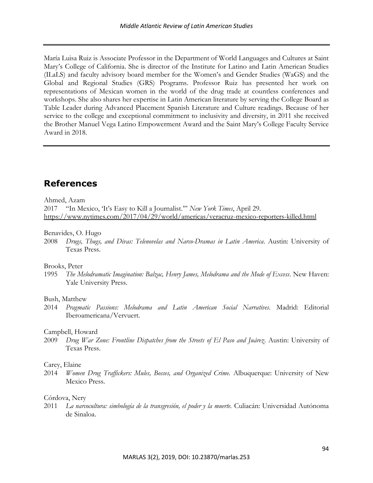María Luisa Ruiz is Associate Professor in the Department of World Languages and Cultures at Saint Mary's College of California. She is director of the Institute for Latino and Latin American Studies (ILaLS) and faculty advisory board member for the Women's and Gender Studies (WaGS) and the Global and Regional Studies (GRS) Programs. Professor Ruiz has presented her work on representations of Mexican women in the world of the drug trade at countless conferences and workshops. She also shares her expertise in Latin American literature by serving the College Board as Table Leader during Advanced Placement Spanish Literature and Culture readings. Because of her service to the college and exceptional commitment to inclusivity and diversity, in 2011 she received the Brother Manuel Vega Latino Empowerment Award and the Saint Mary's College Faculty Service Award in 2018.

# **References**

#### Ahmed, Azam

2017 "In Mexico, 'It's Easy to Kill a Journalist.'" *New York Times*, April 29. <https://www.nytimes.com/2017/04/29/world/americas/veracruz-mexico-reporters-killed.html>

#### Benavides, O. Hugo

2008 *Drugs, Thugs, and Divas: Telenovelas and Narco-Dramas in Latin America*. Austin: University of Texas Press.

#### Brooks, Peter

1995 *The Melodramatic Imagination: Balzac, Henry James, Melodrama and the Mode of Excess*. New Haven: Yale University Press.

#### Bush, Matthew

2014 *Pragmatic Passions: Melodrama and Latin American Social Narratives*. Madrid: Editorial Iberoamericana/Vervuert.

#### Campbell, Howard

2009 *Drug War Zone: Frontline Dispatches from the Streets of El Paso and Juárez*. Austin: University of Texas Press.

#### Carey, Elaine

2014 *Women Drug Traffickers: Mules, Bosses, and Organized Crime.* Albuquerque: University of New Mexico Press.

#### Córdova, Nery

2011 La narcocultura: simbología de la transgresión, el poder y la muerte. Culiacán: Universidad Autónoma de Sinaloa.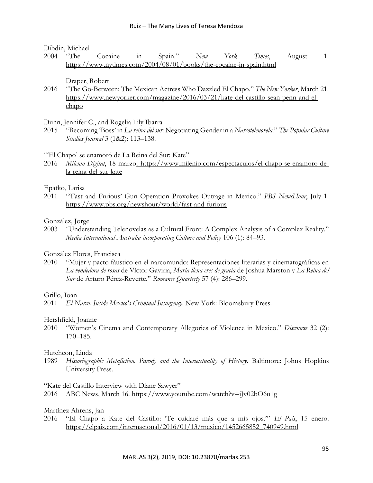Dibdin, Michael

2004 "The Cocaine in Spain." *New York Times*, August 1. <https://www.nytimes.com/2004/08/01/books/the-cocaine-in-spain.html>

Draper, Robert

2016 "The Go-Between: The Mexican Actress Who Dazzled El Chapo." *The New Yorker*, March 21. [https://www.newyorker.com/magazine/2016/03/21/kate-del-castillo-sean-penn-and-el](https://www.newyorker.com/magazine/2016/03/21/kate-del-castillo-sean-penn-and-el-)[chapo](https://www.newyorker.com/magazine/2016/03/21/kate-del-castillo-sean-penn-and-el-)

Dunn, Jennifer C., and Rogelia Lily Ibarra

2015 "Becoming 'Boss' in *La reina del sur*: Negotiating Gender in a *Narcotelenovela*." *The Popular Culture Studies Journal* 3 (1&2): 113–138.

#### "El Chapo' se enamoró de La Reina del Sur: Kate"

2016 *Milenio Digital*, 18 marz[o. https://www.milenio.com/espectaculos/el-chapo-se-enamoro-de](https://www.milenio.com/espectaculos/el-chapo-se-enamoro-de-la-reina-del-sur-kate)[la-reina-del-sur-kate](https://www.milenio.com/espectaculos/el-chapo-se-enamoro-de-la-reina-del-sur-kate)

#### Epatko, Larisa

2011 "'Fast and Furious' Gun Operation Provokes Outrage in Mexico." *PBS NewsHour*, July 1. <https://www.pbs.org/newshour/world/fast-and-furious>

González, Jorge

2003 "Understanding Telenovelas as a Cultural Front: A Complex Analysis of a Complex Reality." *Media International Australia incorporating Culture and Policy* 106 (1): 84–93.

González Flores, Francisca

2010 "Mujer y pacto fáustico en el narcomundo: Representaciones literarias y cinematográficas en *La vendedora de rosas* de Víctor Gaviria, *María llena eres de gracia* de Joshua Marston y *La Reina del Sur* de Arturo Pérez-Reverte." *Romance Quarterly* 57 (4): 286–299.

Grillo, Ioan

2011 *El Narco: Inside Mexico's Criminal Insurgency*. New York: Bloomsbury Press.

Hershfield, Joanne

2010 "Women's Cinema and Contemporary Allegories of Violence in Mexico." *Discourse* 32 (2): 170–185.

#### Hutcheon, Linda

1989 *Historiographic Metafiction. Parody and the Intertextuality of History*. Baltimore: Johns Hopkins University Press.

"Kate del Castillo Interview with Diane Sawyer"

2016 ABC News, March 16.<https://www.youtube.com/watch?v=iJv02bO6u1g>

Martínez Ahrens, Jan

2016 "El Chapo a Kate del Castillo: 'Te cuidaré más que a mis ojos.'" *El País*, 15 enero. [https://elpais.com/internacional/2016/01/13/mexico/1452665852\\_740949.html](https://elpais.com/internacional/2016/01/13/mexico/1452665852_740949.html)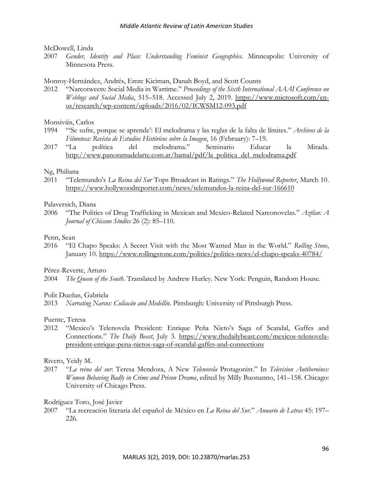#### McDowell, Linda

2007 *Gender, Identity and Place: Understanding Feminist Geographies*. Minneapolis: University of Minnesota Press.

#### Monroy-Hernández, Andrés, Emre Kiciman, Danah Boyd, and Scott Counts

2012 "Narcotweets: Social Media in Wartime." *Proceedings of the Sixth International AAAI Conference on Weblogs and Social Media*, 515–518. Accessed July 2, 2019. [https://www.microsoft.com/en](https://www.microsoft.com/en-us/research/wp-content/uploads/2016/02/ICWSM12-%09093.pdf)[us/research/wp-content/uploads/2016/02/ICWSM12-093.pdf](https://www.microsoft.com/en-us/research/wp-content/uploads/2016/02/ICWSM12-%09093.pdf) 

#### Monsiváis, Carlos

- 1994 "'Se sufre, porque se aprende': El melodrama y las reglas de la falta de límites." *Archivos de la Filmoteca: Revista de Estudios Históricos sobre la Imagen*, 16 (February): 7–19.
- 2017 "La política del melodrama." Seminario Educar la Mirada. [http://www.panoramadelarte.com.ar/hamal/pdf/la\\_politica\\_del\\_melodrama.pdf](http://www.panoramadelarte.com.ar/hamal/pdf/la_politica_del_melodrama.pdf)

#### Ng, Philiana

2011 "Telemundo's *La Reina del Sur* Tops Broadcast in Ratings." *The Hollywood Reporter*, March 10. <https://www.hollywoodreporter.com/news/telemundos-la-reina-del-sur-166610>

#### Palaversich, Diana

2006 "The Politics of Drug Trafficking in Mexican and Mexico-Related Narconovelas." *Aztlan: A Journal of Chicano Studies* 26 (2): 85–110.

#### Penn, Sean

2016 "El Chapo Speaks: A Secret Visit with the Most Wanted Man in the World." *Rolling Stone*, January 10.<https://www.rollingstone.com/politics/politics-news/el-chapo-speaks-40784/>

Pérez-Reverte, Arturo

2004 *The Queen of the South*. Translated by Andrew Hurley. New York: Penguin, Random House.

#### Polit Dueñas, Gabriela

2013 *Narrating Narcos: Culiacán and Medellín.* Pittsburgh: University of Pittsburgh Press.

#### Puente, Teresa

2012 "Mexico's Telenovela President: Enrique Peña Nieto's Saga of Scandal, Gaffes and Connections." *The Daily Beast*, July 3*.* [https://www.thedailybeast.com/mexicos-telenovela](https://www.thedailybeast.com/mexicos-telenovela-president-enrique-pena-nietos-saga-%09of-scandal-gaffes-and-connections)[president-enrique-pena-nietos-saga-of-scandal-gaffes-and-connections](https://www.thedailybeast.com/mexicos-telenovela-president-enrique-pena-nietos-saga-%09of-scandal-gaffes-and-connections)

#### Rivero, Yeidy M.

2017 "*La reina del sur*: Teresa Mendoza, A New *Telenovela* Protagonist." In *Television Antiheroines: Women Behaving Badly in Crime and Prison Drama*, edited by Milly Buonanno, 141–158. Chicago: University of Chicago Press.

#### Rodríguez Toro, José Javier

2007 "La recreación literaria del español de México en *La Reina del Sur*." *Anuario de Letras* 45: 197– 226.